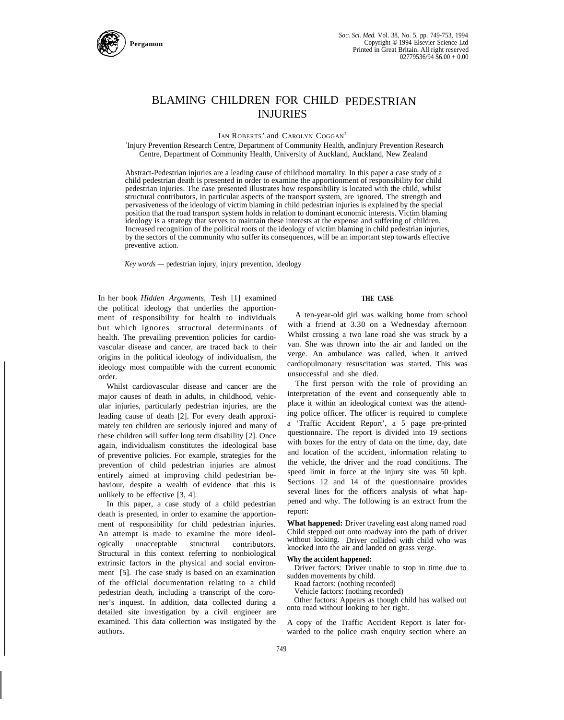

# BLAMING CHILDREN FOR CHILD PEDESTRIAN INJURIES

IAN ROBERTS' and CAROLYN COGGAN<sup>2</sup>

Injury Prevention Research Centre, Department of Community Health, and Injury Prevention Research Centre, Department of Community Health, University of Auckland, Auckland, New Zealand

Abstract-Pedestrian injuries are a leading cause of childhood mortality. In this paper a case study of a child pedestrian death is presented in order to examine the apportionment of responsibility for child pedestrian injuries. The case presented illustrates how responsibility is located with the child, whilst structural contributors, in particular aspects of the transport system, are ignored. The strength and pervasiveness of the ideology of victim blaming in child pedestrian injuries is explained by the special position that the road transport system holds in relation to dominant economic interests. Victim blaming ideology is a strategy that serves to maintain these interests at the expense and suffering of children. Increased recognition of the political roots of the ideology of victim blaming in child pedestrian injuries, by the sectors of the community who suffer its consequences, will be an important step towards effective preventive action.

*Key words —* pedestrian injury, injury prevention, ideology

In her book *Hidden Arguments,* Tesh [1] examined the political ideology that underlies the apportionment of responsibility for health to individuals but which ignores structural determinants of health. The prevailing prevention policies for cardiovascular disease and cancer, are traced back to their origins in the political ideology of individualism, the ideology most compatible with the current economic order.

Whilst cardiovascular disease and cancer are the major causes of death in adults, in childhood, vehicular injuries, particularly pedestrian injuries, are the leading cause of death [2]. For every death approximately ten children are seriously injured and many of these children will suffer long term disability [2]. Once again, individualism constitutes the ideological base of preventive policies. For example, strategies for the prevention of child pedestrian injuries are almost entirely aimed at improving child pedestrian behaviour, despite a wealth of evidence that this is unlikely to be effective [3, 4].

In this paper, a case study of a child pedestrian death is presented, in order to examine the apportionment of responsibility for child pedestrian injuries. An attempt is made to examine the more ideologically unacceptable structural contributors. Structural in this context referring to nonbiological extrinsic factors in the physical and social environment [5]. The case study is based on an examination of the official documentation relating to a child pedestrian death, including a transcript of the coroner's inquest. In addition, data collected during a detailed site investigation by a civil engineer are examined. This data collection was instigated by the authors.

## **THE CASE**

A ten-year-old girl was walking home from school with a friend at 3.30 on a Wednesday afternoon Whilst crossing a two lane road she was struck by a van. She was thrown into the air and landed on the verge. An ambulance was called, when it arrived cardiopulmonary resuscitation was started. This was unsuccessful and she died.

The first person with the role of providing an interpretation of the event and consequently able to place it within an ideological context was the attending police officer. The officer is required to complete a 'Traffic Accident Report', a 5 page pre-printed questionnaire. The report is divided into 19 sections with boxes for the entry of data on the time, day, date and location of the accident, information relating to the vehicle, the driver and the road conditions. The speed limit in force at the injury site was 50 kph. Sections 12 and 14 of the questionnaire provides several lines for the officers analysis of what happened and why. The following is an extract from the report:

**What happened:** Driver traveling east along named road Child stepped out onto roadway into the path of driver without looking. Driver collided with child who was knocked into the air and landed on grass verge.

### **Why the accident happened:**

Driver factors: Driver unable to stop in time due to sudden movements by child.

Road factors: (nothing recorded)

Vehicle factors: (nothing recorded)

Other factors: Appears as though child has walked out onto road without looking to her right.

A copy of the Traffic Accident Report is later forwarded to the police crash enquiry section where an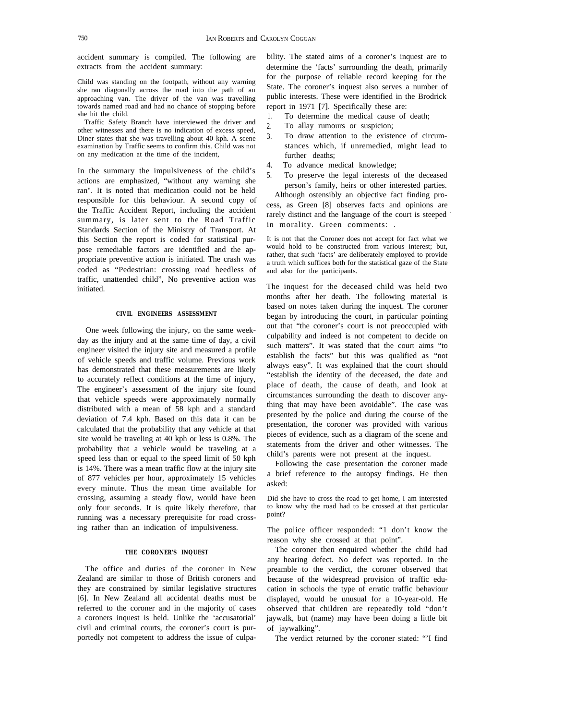accident summary is compiled. The following are extracts from the accident summary:

Child was standing on the footpath, without any warning she ran diagonally across the road into the path of an approaching van. The driver of the van was travelling towards named road and had no chance of stopping before she hit the child.

Traffic Safety Branch have interviewed the driver and other witnesses and there is no indication of excess speed, Diner states that she was travelling about 40 kph. A scene examination by Traffic seems to confirm this. Child was not on any medication at the time of the incident,

In the summary the impulsiveness of the child's actions are emphasized, "without any warning she ran". It is noted that medication could not be held responsible for this behaviour. A second copy of the Traffic Accident Report, including the accident summary, is later sent to the Road Traffic Standards Section of the Ministry of Transport. At this Section the report is coded for statistical purpose remediable factors are identified and the appropriate preventive action is initiated. The crash was coded as "Pedestrian: crossing road heedless of traffic, unattended child", No preventive action was initiated.

#### **CIVIL ENGINEERS ASSESSMENT**

One week following the injury, on the same weekday as the injury and at the same time of day, a civil engineer visited the injury site and measured a profile of vehicle speeds and traffic volume. Previous work has demonstrated that these measurements are likely to accurately reflect conditions at the time of injury, The engineer's assessment of the injury site found that vehicle speeds were approximately normally distributed with a mean of 58 kph and a standard deviation of 7.4 kph. Based on this data it can be calculated that the probability that any vehicle at that site would be traveling at 40 kph or less is 0.8%. The probability that a vehicle would be traveling at a speed less than or equal to the speed limit of 50 kph is 14%. There was a mean traffic flow at the injury site of 877 vehicles per hour, approximately 15 vehicles every minute. Thus the mean time available for crossing, assuming a steady flow, would have been only four seconds. It is quite likely therefore, that running was a necessary prerequisite for road crossing rather than an indication of impulsiveness.

#### **THE CORONER'S INQUEST**

The office and duties of the coroner in New Zealand are similar to those of British coroners and they are constrained by similar legislative structures [6]. In New Zealand all accidental deaths must be referred to the coroner and in the majority of cases a coroners inquest is held. Unlike the 'accusatorial' civil and criminal courts, the coroner's court is purportedly not competent to address the issue of culpability. The stated aims of a coroner's inquest are to determine the 'facts' surrounding the death, primarily for the purpose of reliable record keeping for the State. The coroner's inquest also serves a number of public interests. These were identified in the Brodrick report in 1971 [7]. Specifically these are:

1. To determine the medical cause of death;

- 2. To allay rumours or suspicion;
- 3. To draw attention to the existence of circumstances which, if unremedied, might lead to further deaths;
- To advance medical knowledge;
- 5. To preserve the legal interests of the deceased person's family, heirs or other interested parties.

Although ostensibly an objective fact finding process, as Green [8] observes facts and opinions are rarely distinct and the language of the court is steeped in morality. Green comments: .

It is not that the Coroner does not accept for fact what we would hold to be constructed from various interest; but, rather, that such 'facts' are deliberately employed to provide a truth which suffices both for the statistical gaze of the State and also for the participants.

The inquest for the deceased child was held two months after her death. The following material is based on notes taken during the inquest. The coroner began by introducing the court, in particular pointing out that "the coroner's court is not preoccupied with culpability and indeed is not competent to decide on such matters". It was stated that the court aims "to establish the facts" but this was qualified as "not always easy". It was explained that the court should "establish the identity of the deceased, the date and place of death, the cause of death, and look at circumstances surrounding the death to discover anything that may have been avoidable". The case was presented by the police and during the course of the presentation, the coroner was provided with various pieces of evidence, such as a diagram of the scene and statements from the driver and other witnesses. The child's parents were not present at the inquest.

Following the case presentation the coroner made a brief reference to the autopsy findings. He then asked:

Did she have to cross the road to get home, I am interested to know why the road had to be crossed at that particular point?

The police officer responded: "1 don't know the reason why she crossed at that point".

The coroner then enquired whether the child had any hearing defect. No defect was reported. In the preamble to the verdict, the coroner observed that because of the widespread provision of traffic education in schools the type of erratic traffic behaviour displayed, would be unusual for a 10-year-old. He observed that children are repeatedly told "don't jaywalk, but (name) may have been doing a little bit of jaywalking".

The verdict returned by the coroner stated: "'I find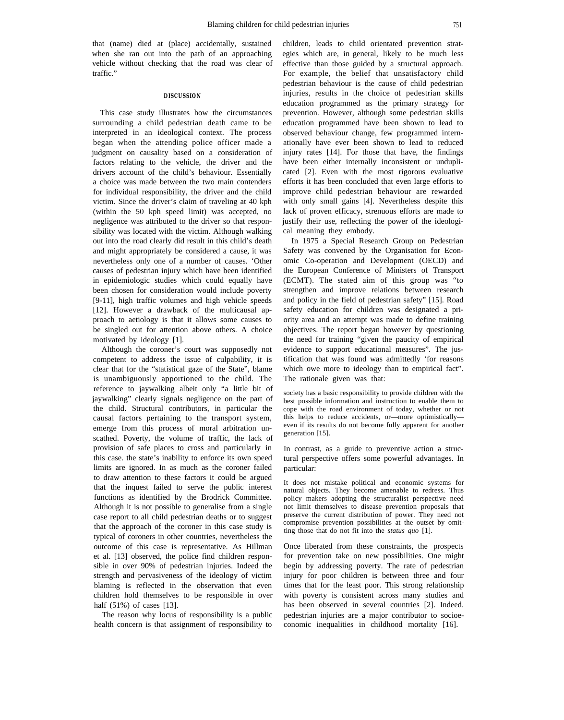that (name) died at (place) accidentally, sustained when she ran out into the path of an approaching vehicle without checking that the road was clear of traffic."

## **DISCUSSION**

This case study illustrates how the circumstances surrounding a child pedestrian death came to be interpreted in an ideological context. The process began when the attending police officer made a judgment on causality based on a consideration of factors relating to the vehicle, the driver and the drivers account of the child's behaviour. Essentially a choice was made between the two main contenders for individual responsibility, the driver and the child victim. Since the driver's claim of traveling at 40 kph (within the 50 kph speed limit) was accepted, no negligence was attributed to the driver so that responsibility was located with the victim. Although walking out into the road clearly did result in this child's death and might appropriately be considered a cause, it was nevertheless only one of a number of causes. 'Other causes of pedestrian injury which have been identified in epidemiologic studies which could equally have been chosen for consideration would include poverty [9-11], high traffic volumes and high vehicle speeds [12]. However a drawback of the multicausal approach to aetiology is that it allows some causes to be singled out for attention above others. A choice motivated by ideology [1].

Although the coroner's court was supposedly not competent to address the issue of culpability, it is clear that for the "statistical gaze of the State", blame is unambiguously apportioned to the child. The reference to jaywalking albeit only "a little bit of jaywalking" clearly signals negligence on the part of the child. Structural contributors, in particular the causal factors pertaining to the transport system, emerge from this process of moral arbitration unscathed. Poverty, the volume of traffic, the lack of provision of safe places to cross and particularly in this case. the state's inability to enforce its own speed limits are ignored. In as much as the coroner failed to draw attention to these factors it could be argued that the inquest failed to serve the public interest functions as identified by the Brodrick Committee. Although it is not possible to generalise from a single case report to all child pedestrian deaths or to suggest that the approach of the coroner in this case study is typical of coroners in other countries, nevertheless the outcome of this case is representative. As Hillman et al. [13] observed, the police find children responsible in over 90% of pedestrian injuries. Indeed the strength and pervasiveness of the ideology of victim blaming is reflected in the observation that even children hold themselves to be responsible in over half (51%) of cases [13].

The reason why locus of responsibility is a public health concern is that assignment of responsibility to children, leads to child orientated prevention strategies which are, in general, likely to be much less effective than those guided by a structural approach. For example, the belief that unsatisfactory child pedestrian behaviour is the cause of child pedestrian injuries, results in the choice of pedestrian skills education programmed as the primary strategy for prevention. However, although some pedestrian skills education programmed have been shown to lead to observed behaviour change, few programmed internationally have ever been shown to lead to reduced injury rates [14]. For those that have, the findings have been either internally inconsistent or unduplicated [2]. Even with the most rigorous evaluative efforts it has been concluded that even large efforts to improve child pedestrian behaviour are rewarded with only small gains [4]. Nevertheless despite this lack of proven efficacy, strenuous efforts are made to justify their use, reflecting the power of the ideological meaning they embody.

In 1975 a Special Research Group on Pedestrian Safety was convened by the Organisation for Economic Co-operation and Development (OECD) and the European Conference of Ministers of Transport (ECMT). The stated aim of this group was "to strengthen and improve relations between research and policy in the field of pedestrian safety" [15]. Road safety education for children was designated a priority area and an attempt was made to define training objectives. The report began however by questioning the need for training "given the paucity of empirical evidence to support educational measures". The justification that was found was admittedly 'for reasons which owe more to ideology than to empirical fact". The rationale given was that:

society has a basic responsibility to provide children with the best possible information and instruction to enable them to cope with the road environment of today, whether or not this helps to reduce accidents, or—more optimistically even if its results do not become fully apparent for another generation [15].

In contrast, as a guide to preventive action a structural perspective offers some powerful advantages. In particular:

It does not mistake political and economic systems for natural objects. They become amenable to redress. Thus policy makers adopting the structuralist perspective need not limit themselves to disease prevention proposals that preserve the current distribution of power. They need not compromise prevention possibilities at the outset by omitting those that do not fit into the *status quo* [1].

Once liberated from these constraints, the prospects for prevention take on new possibilities. One might begin by addressing poverty. The rate of pedestrian injury for poor children is between three and four times that for the least poor. This strong relationship with poverty is consistent across many studies and has been observed in several countries [2]. Indeed. pedestrian injuries are a major contributor to socioeconomic inequalities in childhood mortality [16].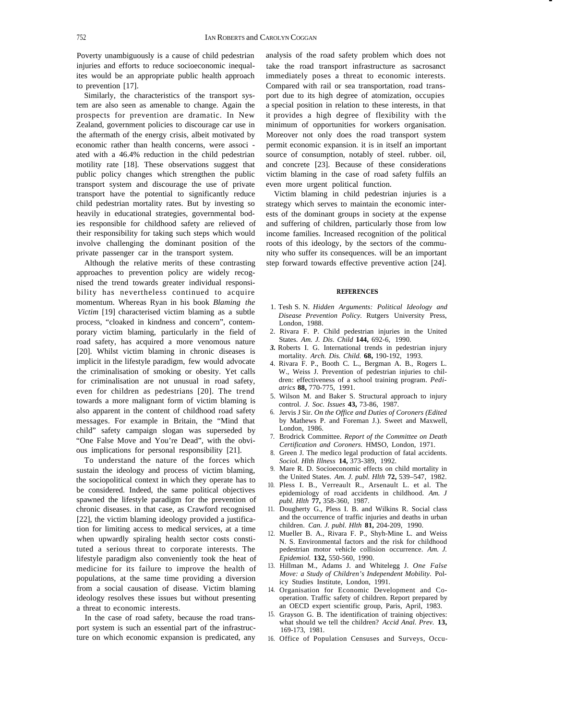Poverty unambiguously is a cause of child pedestrian injuries and efforts to reduce socioeconomic inequalites would be an appropriate public health approach to prevention [17].

Similarly, the characteristics of the transport system are also seen as amenable to change. Again the prospects for prevention are dramatic. In New Zealand, government policies to discourage car use in the aftermath of the energy crisis, albeit motivated by economic rather than health concerns, were associ ated with a 46.4% reduction in the child pedestrian motility rate [18]. These observations suggest that public policy changes which strengthen the public transport system and discourage the use of private transport have the potential to significantly reduce child pedestrian mortality rates. But by investing so heavily in educational strategies, governmental bodies responsible for childhood safety are relieved of their responsibility for taking such steps which would involve challenging the dominant position of the private passenger car in the transport system.

Although the relative merits of these contrasting approaches to prevention policy are widely recognised the trend towards greater individual responsibility has nevertheless continued to acquire momentum. Whereas Ryan in his book *Blaming the Victim* [19] characterised victim blaming as a subtle process, "cloaked in kindness and concern", contemporary victim blaming, particularly in the field of road safety, has acquired a more venomous nature [20]. Whilst victim blaming in chronic diseases is implicit in the lifestyle paradigm, few would advocate the criminalisation of smoking or obesity. Yet calls for criminalisation are not unusual in road safety, even for children as pedestrians [20]. The trend towards a more malignant form of victim blaming is also apparent in the content of childhood road safety messages. For example in Britain, the "Mind that child" safety campaign slogan was superseded by "One False Move and You're Dead", with the obvious implications for personal responsibility [21].

To understand the nature of the forces which sustain the ideology and process of victim blaming, the sociopolitical context in which they operate has to be considered. Indeed, the same political objectives spawned the lifestyle paradigm for the prevention of chronic diseases. in that case, as Crawford recognised [22], the victim blaming ideology provided a justification for limiting access to medical services, at a time when upwardly spiraling health sector costs constituted a serious threat to corporate interests. The lifestyle paradigm also conveniently took the heat of medicine for its failure to improve the health of populations, at the same time providing a diversion from a social causation of disease. Victim blaming ideology resolves these issues but without presenting a threat to economic interests.

In the case of road safety, because the road transport system is such an essential part of the infrastructure on which economic expansion is predicated, any analysis of the road safety problem which does not take the road transport infrastructure as sacrosanct immediately poses a threat to economic interests. Compared with rail or sea transportation, road transport due to its high degree of atomization, occupies a special position in relation to these interests, in that it provides a high degree of flexibility with the minimum of opportunities for workers organisation. Moreover not only does the road transport system permit economic expansion. it is in itself an important source of consumption, notably of steel. rubber. oil, and concrete [23]. Because of these considerations victim blaming in the case of road safety fulfils an even more urgent political function.

Victim blaming in child pedestrian injuries is a strategy which serves to maintain the economic interests of the dominant groups in society at the expense and suffering of children, particularly those from low income families. Increased recognition of the political roots of this ideology, by the sectors of the community who suffer its consequences. will be an important step forward towards effective preventive action [24].

#### **REFERENCES**

- 1. Tesh S. N. *Hidden Arguments: Political Ideology and Disease Prevention Policy.* Rutgers University Press, London, 1988.
- 2. Rivara F. P. Child pedestrian injuries in the United States. *Am. J. Dis. Child* **144,** 692-6, 1990.
- *3.* Roberts I. G. International trends in pedestrian injury mortality. *Arch. Dis. Child.* **68,** 190-192, 1993.
- 4. Rivara F. P., Booth C. L., Bergman A. B., Rogers L. W., Weiss J. Prevention of pedestrian injuries to children: effectiveness of a school training program. *Pediatrics* **88,** 770-775, 1991.
- 5. Wilson M. and Baker S. Structural approach to injury control. *J. Soc. Issues* **43,** 73-86, 1987.
- 6. Jervis J Sir. *On the Office and Duties of Coroners (Edited* by Mathews P. and Foreman J.). Sweet and Maxwell, London, 1986.
- 7. Brodrick Committee. *Report of the Committee on Death Certification and Coroners.* HMSO, London, 1971.
- 8. Green J. The medico legal production of fatal accidents. *Sociol. Hlth Illness* **14,** 373-389, 1992.
- 9. Mare R. D. Socioeconomic effects on child mortality in the United States. *Am. J. publ. Hlth* **72,** 539–547, 1982.
- 10. Pless I. B., Verreault R., Arsenault L. et al. The epidemiology of road accidents in childhood. *Am. J publ. Hlth* **77,** 358-360, 1987.
- 11. Dougherty G., Pless I. B. and Wilkins R. Social class and the occurrence of traffic injuries and deaths in urban children. *Can. J. publ. Hlth* **81,** 204-209, 1990.
- 12. Mueller B. A., Rivara F. P., Shyh-Mine L. and Weiss N. S. Environmental factors and the risk for childhood pedestrian motor vehicle collision occurrence. *Am. J. Epidemiol.* **132,** 550-560, 1990.
- 13. Hillman M., Adams J. and Whitelegg J. *One False Move: a Study of Children's Independent Mobility.* Policy Studies Institute, London, 1991.
- 14. Organisation for Economic Development and Cooperation. Traffic safety of children. Report prepared by an OECD expert scientific group, Paris, April, 1983.
- 15. Grayson G. B. The identification of training objectives: what should we tell the children? *Accid Anal. Prev.* **13,** 169-173, 1981.
- 16. Office of Population Censuses and Surveys, Occu-